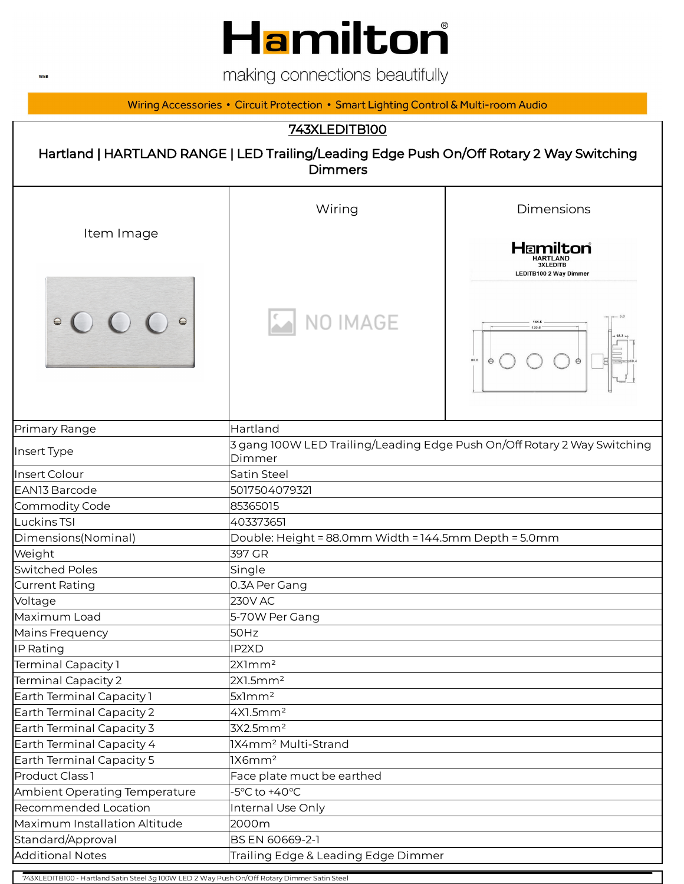

making connections beautifully

Wiring Accessories • Circuit Protection • Smart Lighting Control & Multi-room Audio

### 743XLEDITB100



| Item Image                    | Wiring                                                                             | Dimensions                                                   |  |
|-------------------------------|------------------------------------------------------------------------------------|--------------------------------------------------------------|--|
|                               |                                                                                    | Hamilton<br><b>3XLEDITB</b><br><b>LEDITB100 2 Way Dimmer</b> |  |
|                               | NO IMAGE                                                                           | 144.5<br>120.6<br>88.0                                       |  |
| Primary Range                 | Hartland                                                                           |                                                              |  |
| Insert Type                   | 3 gang 100W LED Trailing/Leading Edge Push On/Off Rotary 2 Way Switching<br>Dimmer |                                                              |  |
| <b>Insert Colour</b>          | Satin Steel                                                                        |                                                              |  |
| EAN13 Barcode                 | 5017504079321                                                                      |                                                              |  |
| Commodity Code                | 85365015                                                                           |                                                              |  |
| Luckins TSI                   | 403373651                                                                          |                                                              |  |
| Dimensions(Nominal)           | Double: Height = 88.0mm Width = 144.5mm Depth = 5.0mm                              |                                                              |  |
| Weight                        | 397 GR                                                                             |                                                              |  |
| <b>Switched Poles</b>         | Single                                                                             |                                                              |  |
| Current Rating                | 0.3A Per Gang                                                                      |                                                              |  |
| Voltage                       | <b>230V AC</b>                                                                     |                                                              |  |
| Maximum Load                  | 5-70W Per Gang                                                                     |                                                              |  |
| Mains Frequency               | 50Hz                                                                               |                                                              |  |
| IP Rating                     | IP2XD                                                                              |                                                              |  |
| Terminal Capacity 1           | 2X1mm <sup>2</sup>                                                                 |                                                              |  |
| Terminal Capacity 2           | 2X1.5mm <sup>2</sup>                                                               |                                                              |  |
| Earth Terminal Capacity 1     | 5x1mm <sup>2</sup>                                                                 |                                                              |  |
| Earth Terminal Capacity 2     | 4X1.5mm <sup>2</sup>                                                               |                                                              |  |
| Earth Terminal Capacity 3     | 3X2.5mm <sup>2</sup>                                                               |                                                              |  |
| Earth Terminal Capacity 4     | 1X4mm <sup>2</sup> Multi-Strand                                                    |                                                              |  |
| Earth Terminal Capacity 5     | 1X6mm <sup>2</sup>                                                                 |                                                              |  |
| Product Class 1               | Face plate muct be earthed                                                         |                                                              |  |
| Ambient Operating Temperature | $-5^{\circ}$ C to $+40^{\circ}$ C                                                  |                                                              |  |
| Recommended Location          | Internal Use Only                                                                  |                                                              |  |
| Maximum Installation Altitude | 2000m                                                                              |                                                              |  |
| Standard/Approval             | BS EN 60669-2-1                                                                    |                                                              |  |
| <b>Additional Notes</b>       | Trailing Edge & Leading Edge Dimmer                                                |                                                              |  |

743XLEDITB100 - Hartland Satin Steel 3g 100W LED 2 Way Push On/Off Rotary Dimmer Satin Steel

**WEB**